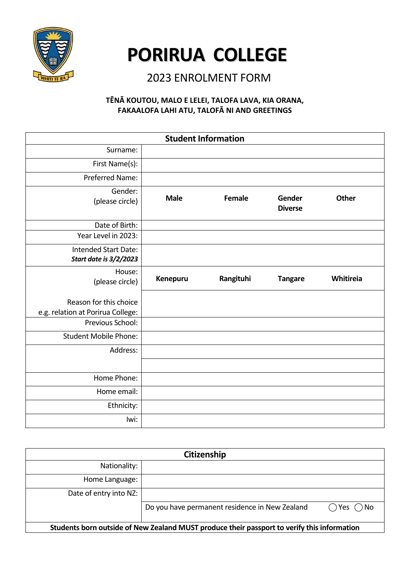

# **PORIRUA COLLEGE**

## 2023 ENROLMENT FORM

#### **TĒNĀ KOUTOU, MALO E LELEI, TALOFA LAVA, KIA ORANA, FAKAALOFA LAHI ATU, TALOFĀ NI AND GREETINGS**

| <b>Student Information</b>                                  |             |           |                          |              |
|-------------------------------------------------------------|-------------|-----------|--------------------------|--------------|
| Surname:                                                    |             |           |                          |              |
| First Name(s):                                              |             |           |                          |              |
| Preferred Name:                                             |             |           |                          |              |
| Gender:<br>(please circle)                                  | <b>Male</b> | Female    | Gender<br><b>Diverse</b> | <b>Other</b> |
| Date of Birth:                                              |             |           |                          |              |
| Year Level in 2023:                                         |             |           |                          |              |
| Intended Start Date:<br><b>Start date is 3/2/2023</b>       |             |           |                          |              |
| House:<br>(please circle)                                   | Kenepuru    | Rangituhi | <b>Tangare</b>           | Whitireia    |
| Reason for this choice<br>e.g. relation at Porirua College: |             |           |                          |              |
| Previous School:                                            |             |           |                          |              |
| <b>Student Mobile Phone:</b>                                |             |           |                          |              |
| Address:                                                    |             |           |                          |              |
|                                                             |             |           |                          |              |
| Home Phone:                                                 |             |           |                          |              |
| Home email:                                                 |             |           |                          |              |
| Ethnicity:                                                  |             |           |                          |              |
| lwi:                                                        |             |           |                          |              |

| Citizenship                                                                                 |                                                |                            |  |
|---------------------------------------------------------------------------------------------|------------------------------------------------|----------------------------|--|
| Nationality:                                                                                |                                                |                            |  |
| Home Language:                                                                              |                                                |                            |  |
| Date of entry into NZ:                                                                      |                                                |                            |  |
|                                                                                             | Do you have permanent residence in New Zealand | $\bigcap$ Yes $\bigcap$ No |  |
| Students born outside of New Zealand MUST produce their passport to verify this information |                                                |                            |  |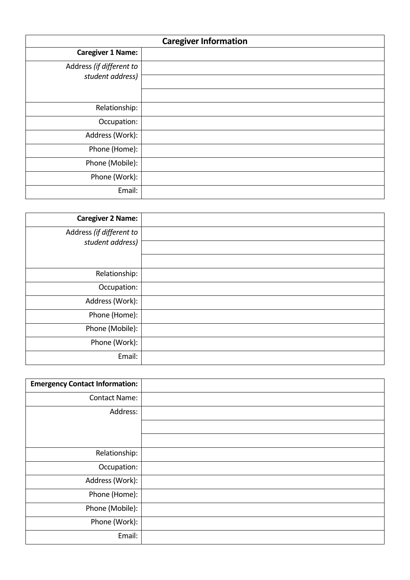|                                              | <b>Caregiver Information</b> |
|----------------------------------------------|------------------------------|
| <b>Caregiver 1 Name:</b>                     |                              |
| Address (if different to<br>student address) |                              |
|                                              |                              |
| Relationship:                                |                              |
| Occupation:                                  |                              |
| Address (Work):                              |                              |
| Phone (Home):                                |                              |
| Phone (Mobile):                              |                              |
| Phone (Work):                                |                              |
| Email:                                       |                              |

| <b>Caregiver 2 Name:</b> |  |
|--------------------------|--|
| Address (if different to |  |
| student address)         |  |
|                          |  |
| Relationship:            |  |
| Occupation:              |  |
| Address (Work):          |  |
| Phone (Home):            |  |
| Phone (Mobile):          |  |
| Phone (Work):            |  |
| Email:                   |  |

| <b>Emergency Contact Information:</b> |  |
|---------------------------------------|--|
| <b>Contact Name:</b>                  |  |
| Address:                              |  |
|                                       |  |
|                                       |  |
| Relationship:                         |  |
| Occupation:                           |  |
| Address (Work):                       |  |
| Phone (Home):                         |  |
| Phone (Mobile):                       |  |
| Phone (Work):                         |  |
| Email:                                |  |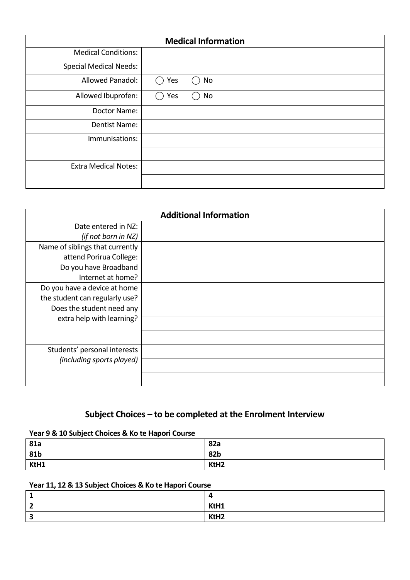|                               |     | <b>Medical Information</b> |
|-------------------------------|-----|----------------------------|
| <b>Medical Conditions:</b>    |     |                            |
| <b>Special Medical Needs:</b> |     |                            |
| Allowed Panadol:              | Yes | No                         |
| Allowed Ibuprofen:            | Yes | No                         |
| Doctor Name:                  |     |                            |
| Dentist Name:                 |     |                            |
| Immunisations:                |     |                            |
|                               |     |                            |
| <b>Extra Medical Notes:</b>   |     |                            |
|                               |     |                            |

|                                 | <b>Additional Information</b> |
|---------------------------------|-------------------------------|
| Date entered in NZ:             |                               |
| (if not born in NZ)             |                               |
| Name of siblings that currently |                               |
| attend Porirua College:         |                               |
| Do you have Broadband           |                               |
| Internet at home?               |                               |
| Do you have a device at home    |                               |
| the student can regularly use?  |                               |
| Does the student need any       |                               |
| extra help with learning?       |                               |
|                                 |                               |
|                                 |                               |
| Students' personal interests    |                               |
| (including sports played)       |                               |
|                                 |                               |
|                                 |                               |

### **Subject Choices – to be completed at the Enrolment Interview**

#### **Year 9 & 10 Subject Choices & Ko te Hapori Course**

| 81a  | 82a              |
|------|------------------|
| 81b  | 82b              |
| KtH1 | KtH <sub>2</sub> |

#### **Year 11, 12 & 13 Subject Choices & Ko te Hapori Course**

| KtH1             |
|------------------|
| KtH <sub>2</sub> |